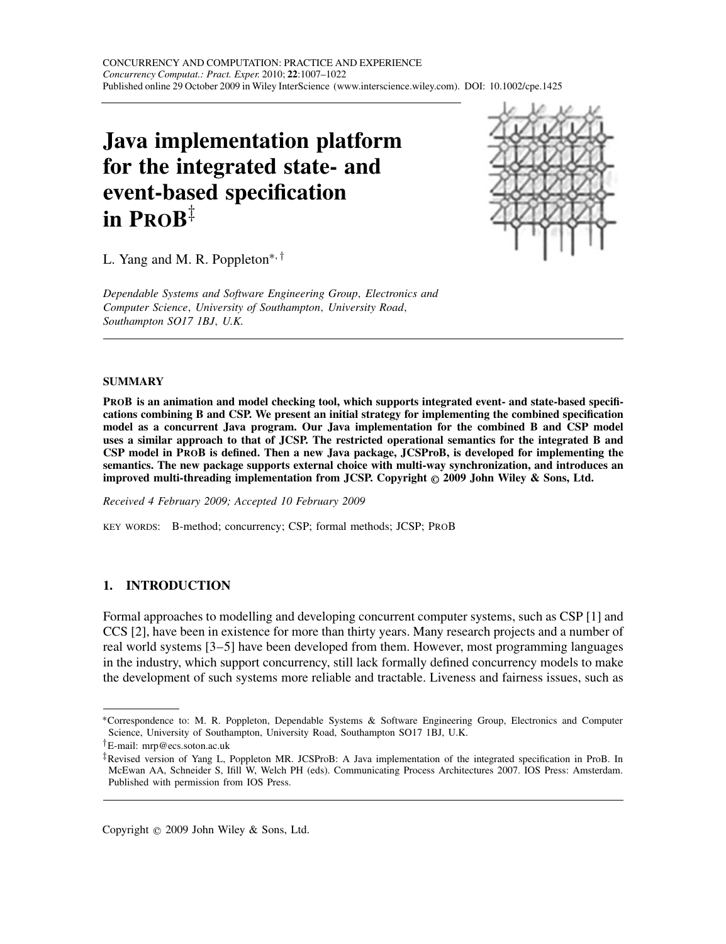# **Java implementation platform for the integrated state- and event-based specification in PROB***‡*



L. Yang and M. R. Poppleton∗*, †*

*Dependable Systems and Software Engineering Group, Electronics and Computer Science, University of Southampton, University Road, Southampton SO17 1BJ, U.K.*

#### **SUMMARY**

**PROB is an animation and model checking tool, which supports integrated event- and state-based specifications combining B and CSP. We present an initial strategy for implementing the combined specification model as a concurrent Java program. Our Java implementation for the combined B and CSP model uses a similar approach to that of JCSP. The restricted operational semantics for the integrated B and CSP model in PROB is defined. Then a new Java package, JCSProB, is developed for implementing the semantics. The new package supports external choice with multi-way synchronization, and introduces an improved multi-threading implementation from JCSP. Copyright © 2009 John Wiley & Sons, Ltd.**

*Received 4 February 2009; Accepted 10 February 2009*

KEY WORDS: B-method; concurrency; CSP; formal methods; JCSP; PROB

# **1. INTRODUCTION**

Formal approaches to modelling and developing concurrent computer systems, such as CSP [1] and CCS [2], have been in existence for more than thirty years. Many research projects and a number of real world systems [3–5] have been developed from them. However, most programming languages in the industry, which support concurrency, still lack formally defined concurrency models to make the development of such systems more reliable and tractable. Liveness and fairness issues, such as

<sup>∗</sup>Correspondence to: M. R. Poppleton, Dependable Systems & Software Engineering Group, Electronics and Computer Science, University of Southampton, University Road, Southampton SO17 1BJ, U.K.

*<sup>†</sup>*E-mail: mrp@ecs.soton.ac.uk

*<sup>‡</sup>*Revised version of Yang L, Poppleton MR. JCSProB: A Java implementation of the integrated specification in ProB. In McEwan AA, Schneider S, Ifill W, Welch PH (eds). Communicating Process Architectures 2007. IOS Press: Amsterdam. Published with permission from IOS Press.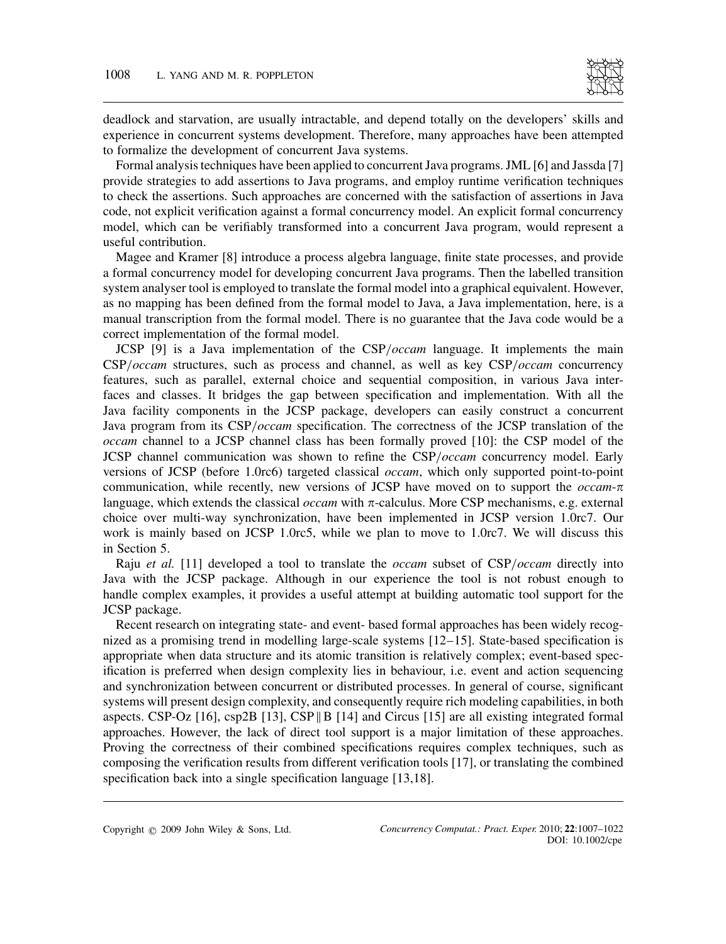deadlock and starvation, are usually intractable, and depend totally on the developers' skills and experience in concurrent systems development. Therefore, many approaches have been attempted to formalize the development of concurrent Java systems.

Formal analysis techniques have been applied to concurrent Java programs. JML [6] and Jassda [7] provide strategies to add assertions to Java programs, and employ runtime verification techniques to check the assertions. Such approaches are concerned with the satisfaction of assertions in Java code, not explicit verification against a formal concurrency model. An explicit formal concurrency model, which can be verifiably transformed into a concurrent Java program, would represent a useful contribution.

Magee and Kramer [8] introduce a process algebra language, finite state processes, and provide a formal concurrency model for developing concurrent Java programs. Then the labelled transition system analyser tool is employed to translate the formal model into a graphical equivalent. However, as no mapping has been defined from the formal model to Java, a Java implementation, here, is a manual transcription from the formal model. There is no guarantee that the Java code would be a correct implementation of the formal model.

JCSP [9] is a Java implementation of the CSP*/occam* language. It implements the main CSP*/occam* structures, such as process and channel, as well as key CSP*/occam* concurrency features, such as parallel, external choice and sequential composition, in various Java interfaces and classes. It bridges the gap between specification and implementation. With all the Java facility components in the JCSP package, developers can easily construct a concurrent Java program from its CSP*/occam* specification. The correctness of the JCSP translation of the *occam* channel to a JCSP channel class has been formally proved [10]: the CSP model of the JCSP channel communication was shown to refine the CSP*/occam* concurrency model. Early versions of JCSP (before 1.0rc6) targeted classical *occam*, which only supported point-to-point communication, while recently, new versions of JCSP have moved on to support the  $occam-\pi$ language, which extends the classical  $occam$  with  $\pi$ -calculus. More CSP mechanisms, e.g. external choice over multi-way synchronization, have been implemented in JCSP version 1.0rc7. Our work is mainly based on JCSP 1.0rc5, while we plan to move to 1.0rc7. We will discuss this in Section 5.

Raju *et al.* [11] developed a tool to translate the *occam* subset of CSP*/occam* directly into Java with the JCSP package. Although in our experience the tool is not robust enough to handle complex examples, it provides a useful attempt at building automatic tool support for the JCSP package.

Recent research on integrating state- and event- based formal approaches has been widely recognized as a promising trend in modelling large-scale systems [12–15]. State-based specification is appropriate when data structure and its atomic transition is relatively complex; event-based specification is preferred when design complexity lies in behaviour, i.e. event and action sequencing and synchronization between concurrent or distributed processes. In general of course, significant systems will present design complexity, and consequently require rich modeling capabilities, in both aspects. CSP-Oz [16], csp2B [13], CSP || B [14] and Circus [15] are all existing integrated formal approaches. However, the lack of direct tool support is a major limitation of these approaches. Proving the correctness of their combined specifications requires complex techniques, such as composing the verification results from different verification tools [17], or translating the combined specification back into a single specification language [13,18].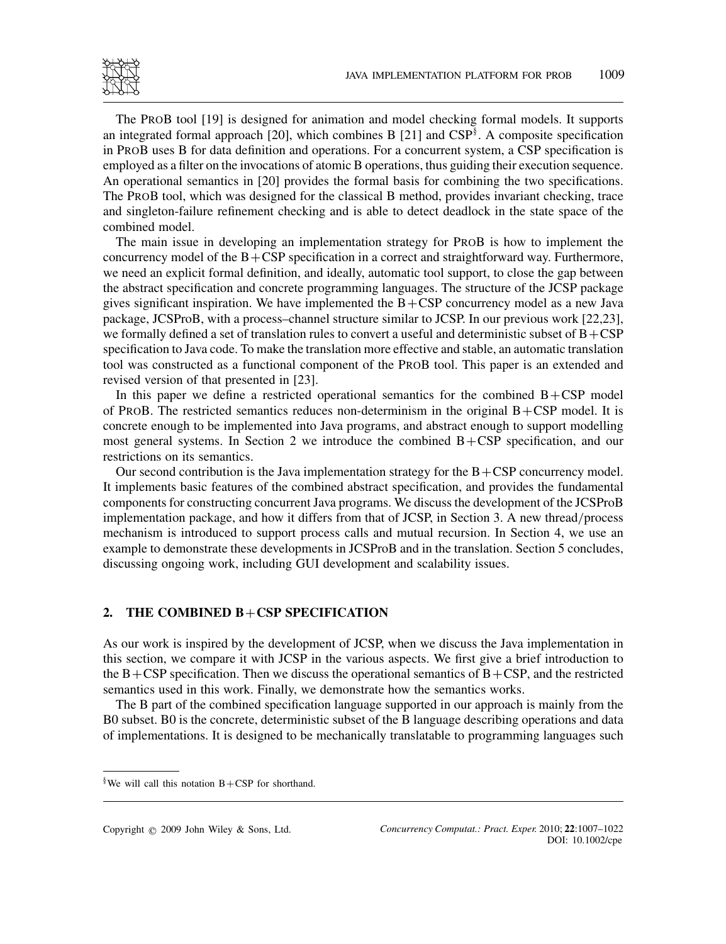

The PROB tool [19] is designed for animation and model checking formal models. It supports an integrated formal approach [20], which combines B [21] and  $CSP<sup>§</sup>$ . A composite specification in PROB uses B for data definition and operations. For a concurrent system, a CSP specification is employed as a filter on the invocations of atomic B operations, thus guiding their execution sequence. An operational semantics in [20] provides the formal basis for combining the two specifications. The PROB tool, which was designed for the classical B method, provides invariant checking, trace and singleton-failure refinement checking and is able to detect deadlock in the state space of the combined model.

The main issue in developing an implementation strategy for PROB is how to implement the concurrency model of the  $B + CSP$  specification in a correct and straightforward way. Furthermore, we need an explicit formal definition, and ideally, automatic tool support, to close the gap between the abstract specification and concrete programming languages. The structure of the JCSP package gives significant inspiration. We have implemented the  $B + CSP$  concurrency model as a new Java package, JCSProB, with a process–channel structure similar to JCSP. In our previous work [22,23], we formally defined a set of translation rules to convert a useful and deterministic subset of  $B + CSP$ specification to Java code. To make the translation more effective and stable, an automatic translation tool was constructed as a functional component of the PROB tool. This paper is an extended and revised version of that presented in [23].

In this paper we define a restricted operational semantics for the combined  $B + CSP$  model of PROB. The restricted semantics reduces non-determinism in the original  $B + CSP$  model. It is concrete enough to be implemented into Java programs, and abstract enough to support modelling most general systems. In Section 2 we introduce the combined  $B + CSP$  specification, and our restrictions on its semantics.

Our second contribution is the Java implementation strategy for the  $B + CSP$  concurrency model. It implements basic features of the combined abstract specification, and provides the fundamental components for constructing concurrent Java programs. We discuss the development of the JCSProB implementation package, and how it differs from that of JCSP, in Section 3. A new thread*/*process mechanism is introduced to support process calls and mutual recursion. In Section 4, we use an example to demonstrate these developments in JCSProB and in the translation. Section 5 concludes, discussing ongoing work, including GUI development and scalability issues.

## **2. THE COMBINED B**+**CSP SPECIFICATION**

As our work is inspired by the development of JCSP, when we discuss the Java implementation in this section, we compare it with JCSP in the various aspects. We first give a brief introduction to the  $B + CSP$  specification. Then we discuss the operational semantics of  $B + CSP$ , and the restricted semantics used in this work. Finally, we demonstrate how the semantics works.

The B part of the combined specification language supported in our approach is mainly from the B0 subset. B0 is the concrete, deterministic subset of the B language describing operations and data of implementations. It is designed to be mechanically translatable to programming languages such

<sup>&</sup>lt;sup>§</sup>We will call this notation B+CSP for shorthand.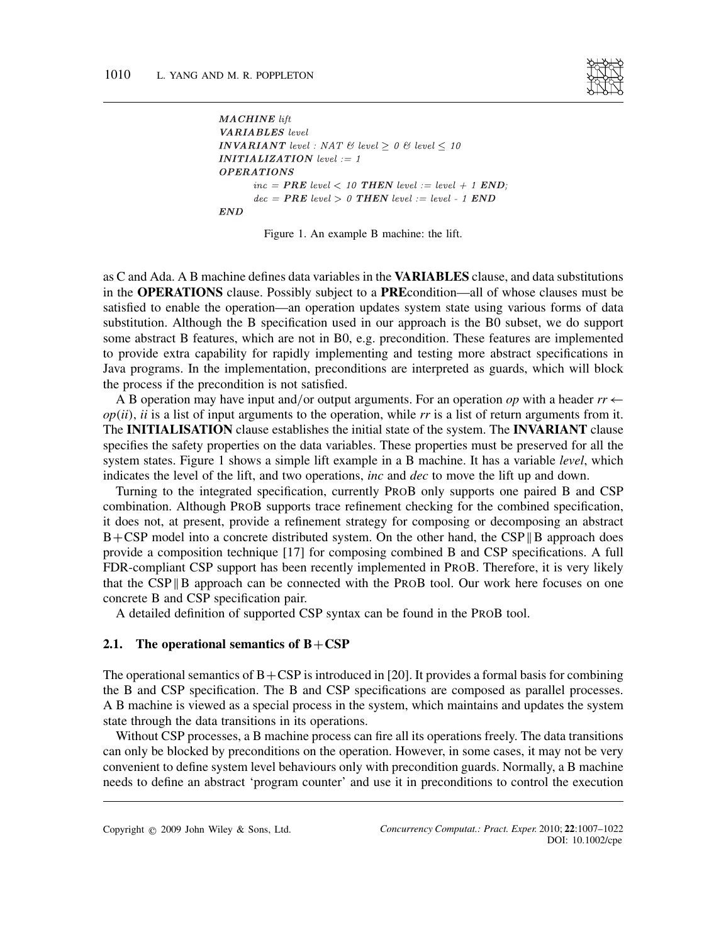

```
MACHINE lift
VARIABLES level
INVARIANT level : NAT & level \geq 0 & level \leq 10INITIALIZATION level := 1OPERATIONS
      inc = PRE level < 10 THEN level := level + 1 END;
      dec = PRE level > 0 THEN level := level - 1 END
END
```
Figure 1. An example B machine: the lift.

as C and Ada. A B machine defines data variables in the **VARIABLES** clause, and data substitutions in the **OPERATIONS** clause. Possibly subject to a **PRE**condition—all of whose clauses must be satisfied to enable the operation—an operation updates system state using various forms of data substitution. Although the B specification used in our approach is the B0 subset, we do support some abstract B features, which are not in B0, e.g. precondition. These features are implemented to provide extra capability for rapidly implementing and testing more abstract specifications in Java programs. In the implementation, preconditions are interpreted as guards, which will block the process if the precondition is not satisfied.

A B operation may have input and/or output arguments. For an operation *op* with a header  $rr \leftarrow$  $op(i)$ , *ii* is a list of input arguments to the operation, while *rr* is a list of return arguments from it. The **INITIALISATION** clause establishes the initial state of the system. The **INVARIANT** clause specifies the safety properties on the data variables. These properties must be preserved for all the system states. Figure 1 shows a simple lift example in a B machine. It has a variable *level*, which indicates the level of the lift, and two operations, *inc* and *dec* to move the lift up and down.

Turning to the integrated specification, currently PROB only supports one paired B and CSP combination. Although PROB supports trace refinement checking for the combined specification, it does not, at present, provide a refinement strategy for composing or decomposing an abstract  $B + CSP$  model into a concrete distributed system. On the other hand, the CSP  $\parallel$  B approach does provide a composition technique [17] for composing combined B and CSP specifications. A full FDR-compliant CSP support has been recently implemented in PROB. Therefore, it is very likely that the  $CSP \parallel B$  approach can be connected with the PROB tool. Our work here focuses on one concrete B and CSP specification pair.

A detailed definition of supported CSP syntax can be found in the PROB tool.

#### **2.1. The operational semantics of B**+**CSP**

The operational semantics of  $B + CSP$  is introduced in [20]. It provides a formal basis for combining the B and CSP specification. The B and CSP specifications are composed as parallel processes. A B machine is viewed as a special process in the system, which maintains and updates the system state through the data transitions in its operations.

Without CSP processes, a B machine process can fire all its operations freely. The data transitions can only be blocked by preconditions on the operation. However, in some cases, it may not be very convenient to define system level behaviours only with precondition guards. Normally, a B machine needs to define an abstract 'program counter' and use it in preconditions to control the execution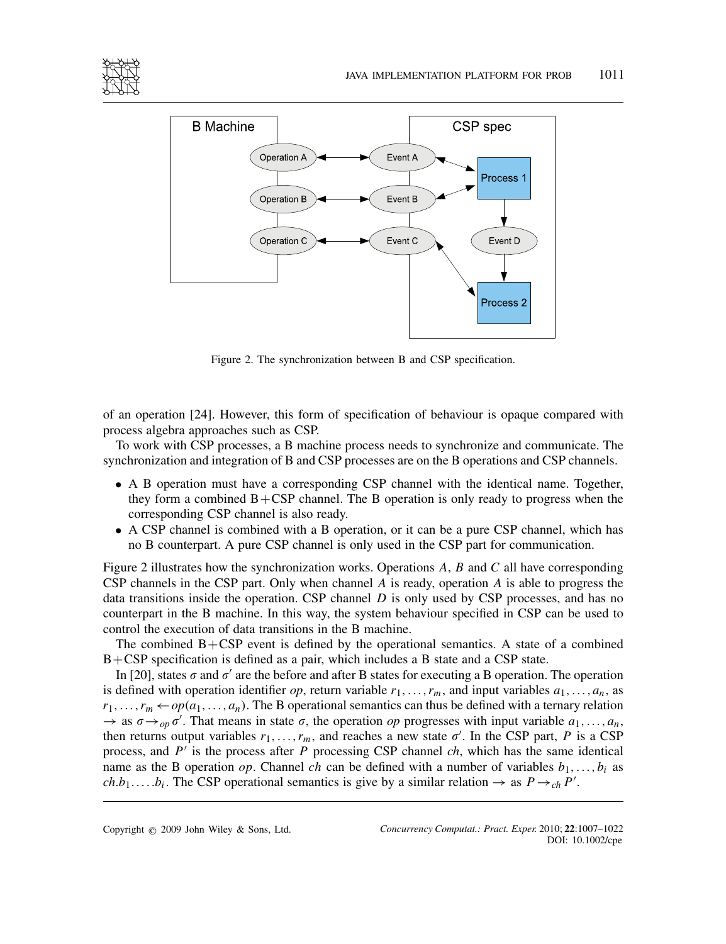

Figure 2. The synchronization between B and CSP specification.

of an operation [24]. However, this form of specification of behaviour is opaque compared with process algebra approaches such as CSP.

To work with CSP processes, a B machine process needs to synchronize and communicate. The synchronization and integration of B and CSP processes are on the B operations and CSP channels.

- A B operation must have a corresponding CSP channel with the identical name. Together, they form a combined  $B + CSP$  channel. The B operation is only ready to progress when the corresponding CSP channel is also ready.
- A CSP channel is combined with a B operation, or it can be a pure CSP channel, which has no B counterpart. A pure CSP channel is only used in the CSP part for communication.

Figure 2 illustrates how the synchronization works. Operations *A*, *B* and *C* all have corresponding CSP channels in the CSP part. Only when channel *A* is ready, operation *A* is able to progress the data transitions inside the operation. CSP channel *D* is only used by CSP processes, and has no counterpart in the B machine. In this way, the system behaviour specified in CSP can be used to control the execution of data transitions in the B machine.

The combined  $B + CSP$  event is defined by the operational semantics. A state of a combined B+CSP specification is defined as a pair, which includes a B state and a CSP state.

In [20], states  $\sigma$  and  $\sigma'$  are the before and after B states for executing a B operation. The operation is defined with operation identifier *op*, return variable  $r_1, \ldots, r_m$ , and input variables  $a_1, \ldots, a_n$ , as  $r_1, \ldots, r_m \leftarrow op(a_1, \ldots, a_n)$ . The B operational semantics can thus be defined with a ternary relation  $\rightarrow$  as  $\sigma \rightarrow_{op} \sigma'$ . That means in state  $\sigma$ , the operation *op* progresses with input variable  $a_1, \ldots, a_n$ , then returns output variables  $r_1, \ldots, r_m$ , and reaches a new state  $\sigma'$ . In the CSP part, P is a CSP process, and *P'* is the process after *P* processing CSP channel *ch*, which has the same identical name as the B operation *op*. Channel *ch* can be defined with a number of variables  $b_1, \ldots, b_i$  as *ch.b*<sub>1</sub>*.....b<sub>i</sub></sub>. The CSP operational semantics is give by a similar relation*  $\rightarrow$  *as*  $P \rightarrow_{ch} P'$ *.*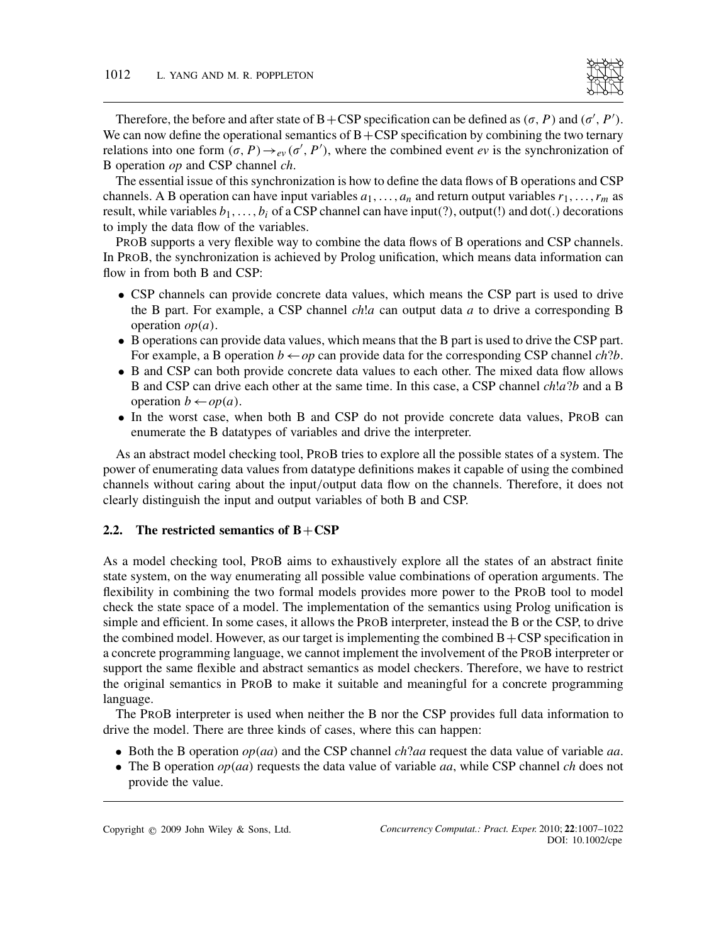

Therefore, the before and after state of  $B + CSP$  specification can be defined as  $(\sigma, P)$  and  $(\sigma', P')$ . We can now define the operational semantics of  $B + CSP$  specification by combining the two ternary relations into one form  $(\sigma, P) \rightarrow_{ev} (\sigma', P')$ , where the combined event *ev* is the synchronization of B operation *op* and CSP channel *ch*.

The essential issue of this synchronization is how to define the data flows of B operations and CSP channels. A B operation can have input variables  $a_1, \ldots, a_n$  and return output variables  $r_1, \ldots, r_m$  as result, while variables *b*1*,...,bi* of a CSP channel can have input*(*?*)*, output*(*!*)* and dot*(.)* decorations to imply the data flow of the variables.

PROB supports a very flexible way to combine the data flows of B operations and CSP channels. In PROB, the synchronization is achieved by Prolog unification, which means data information can flow in from both B and CSP:

- CSP channels can provide concrete data values, which means the CSP part is used to drive the B part. For example, a CSP channel *ch*!*a* can output data *a* to drive a corresponding B operation *op(a)*.
- B operations can provide data values, which means that the B part is used to drive the CSP part. For example, a B operation  $b \leftarrow op$  can provide data for the corresponding CSP channel *ch*?*b*.
- B and CSP can both provide concrete data values to each other. The mixed data flow allows B and CSP can drive each other at the same time. In this case, a CSP channel *ch*!*a*?*b* and a B operation  $b \leftarrow op(a)$ .
- In the worst case, when both B and CSP do not provide concrete data values, PROB can enumerate the B datatypes of variables and drive the interpreter.

As an abstract model checking tool, PROB tries to explore all the possible states of a system. The power of enumerating data values from datatype definitions makes it capable of using the combined channels without caring about the input*/*output data flow on the channels. Therefore, it does not clearly distinguish the input and output variables of both B and CSP.

#### **2.2. The restricted semantics of B**+**CSP**

As a model checking tool, PROB aims to exhaustively explore all the states of an abstract finite state system, on the way enumerating all possible value combinations of operation arguments. The flexibility in combining the two formal models provides more power to the PROB tool to model check the state space of a model. The implementation of the semantics using Prolog unification is simple and efficient. In some cases, it allows the PROB interpreter, instead the B or the CSP, to drive the combined model. However, as our target is implementing the combined  $B + CSP$  specification in a concrete programming language, we cannot implement the involvement of the PROB interpreter or support the same flexible and abstract semantics as model checkers. Therefore, we have to restrict the original semantics in PROB to make it suitable and meaningful for a concrete programming language.

The PROB interpreter is used when neither the B nor the CSP provides full data information to drive the model. There are three kinds of cases, where this can happen:

- Both the B operation *op(aa)* and the CSP channel *ch*?*aa* request the data value of variable *aa*.
- The B operation *op(aa)* requests the data value of variable *aa*, while CSP channel *ch* does not provide the value.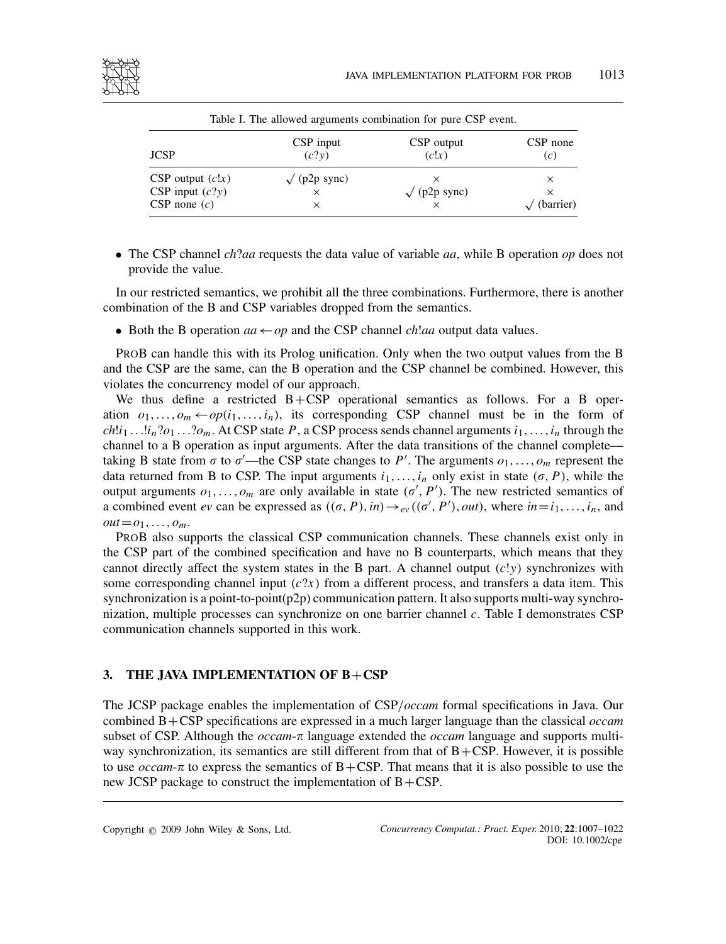

| rable 1. The anowed arguments combination for pure CSF event. |                               |                                  |                                            |  |  |
|---------------------------------------------------------------|-------------------------------|----------------------------------|--------------------------------------------|--|--|
| JCSP                                                          | CSP input<br>(c?y)            | CSP output<br>(c!x)              | CSP none<br>(c)                            |  |  |
| CSP output $(c!x)$<br>CSP input $(c?)$<br>$CSP$ none $(c)$    | $\sqrt{p^2p}$ sync)<br>X<br>× | $\sqrt{(p2p \text{ sync})}$<br>× | ×<br>$\times$<br>$\sqrt{\text{(barrier)}}$ |  |  |

Table I. The allowed arguments combination for pure CSP event.

• The CSP channel *ch*?*aa* requests the data value of variable *aa*, while B operation *op* does not provide the value.

In our restricted semantics, we prohibit all the three combinations. Furthermore, there is another combination of the B and CSP variables dropped from the semantics.

• Both the B operation *aa*←*op* and the CSP channel *ch*!*aa* output data values.

PROB can handle this with its Prolog unification. Only when the two output values from the B and the CSP are the same, can the B operation and the CSP channel be combined. However, this violates the concurrency model of our approach.

We thus define a restricted  $B + CSP$  operational semantics as follows. For a B operation  $o_1, \ldots, o_m \leftarrow op(i_1, \ldots, i_n)$ , its corresponding CSP channel must be in the form of  $chli_1...li_n?$  *o*<sub>1</sub>  $...?$  *om*. At CSP state *P*, a CSP process sends channel arguments  $i_1,...,i_n$  through the channel to a B operation as input arguments. After the data transitions of the channel complete taking B state from  $\sigma$  to  $\sigma'$ —the CSP state changes to P'. The arguments  $o_1, \ldots, o_m$  represent the data returned from B to CSP. The input arguments  $i_1, \ldots, i_n$  only exist in state  $(\sigma, P)$ , while the output arguments  $o_1, \ldots, o_m$  are only available in state  $(\sigma', P')$ . The new restricted semantics of a combined event *ev* can be expressed as  $((\sigma, P), in) \rightarrow_{ev} ((\sigma', P'), out)$ , where  $in = i_1, ..., i_n$ , and  $out = o_1, \ldots, o_m$ .

PROB also supports the classical CSP communication channels. These channels exist only in the CSP part of the combined specification and have no B counterparts, which means that they cannot directly affect the system states in the B part. A channel output *(c*!*y)* synchronizes with some corresponding channel input  $(c$ ? $x)$  from a different process, and transfers a data item. This synchronization is a point-to-point $(p2p)$  communication pattern. It also supports multi-way synchronization, multiple processes can synchronize on one barrier channel *c*. Table I demonstrates CSP communication channels supported in this work.

## **3. THE JAVA IMPLEMENTATION OF B**+**CSP**

The JCSP package enables the implementation of CSP*/occam* formal specifications in Java. Our combined B+CSP specifications are expressed in a much larger language than the classical *occam* subset of CSP. Although the *occam-* $\pi$  language extended the *occam* language and supports multiway synchronization, its semantics are still different from that of  $B + CSP$ . However, it is possible to use  $occam-\pi$  to express the semantics of  $B + CSP$ . That means that it is also possible to use the new JCSP package to construct the implementation of  $B + CSP$ .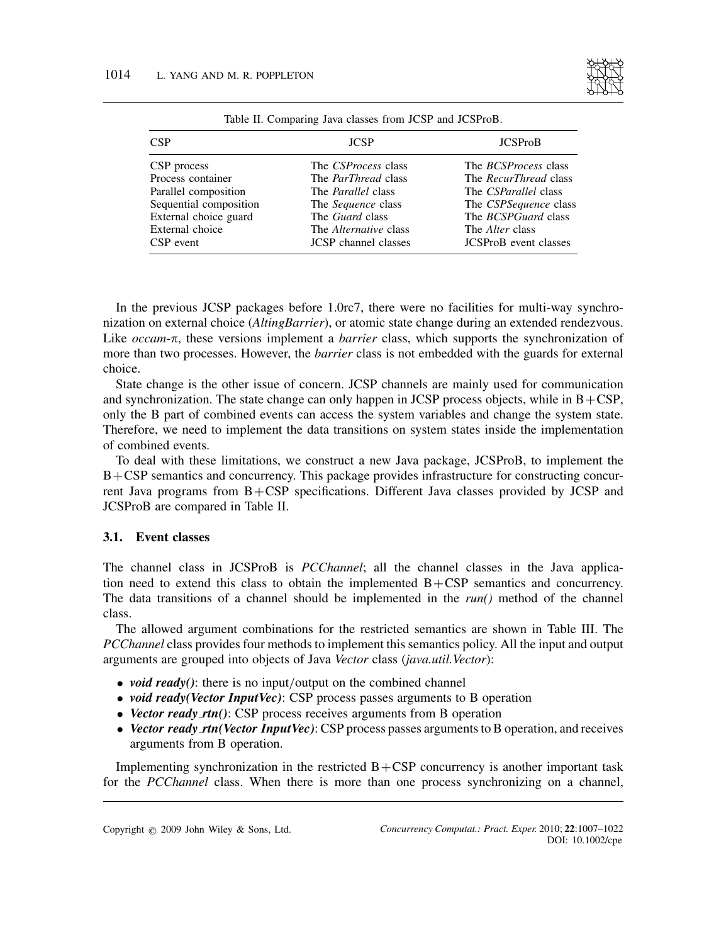

| <b>CSP</b>             | <b>JCSP</b>                  | <b>JCSProB</b>               |  |  |
|------------------------|------------------------------|------------------------------|--|--|
| CSP process            | The <i>CSProcess</i> class   | The <i>BCSProcess</i> class  |  |  |
| Process container      | The <i>ParThread</i> class   | The <i>RecurThread</i> class |  |  |
| Parallel composition   | The <i>Parallel</i> class    | The <i>CSParallel</i> class  |  |  |
| Sequential composition | The <i>Sequence</i> class    | The CSPSequence class        |  |  |
| External choice guard  | The <i>Guard</i> class       | The <i>BCSPGuard</i> class   |  |  |
| External choice        | The <i>Alternative</i> class | The <i>Alter</i> class       |  |  |
| CSP event              | <b>JCSP</b> channel classes  | <b>JCSProB</b> event classes |  |  |

Table II. Comparing Java classes from JCSP and JCSProB.

In the previous JCSP packages before 1.0rc7, there were no facilities for multi-way synchronization on external choice (*AltingBarrier*), or atomic state change during an extended rendezvous. Like *occam-* $\pi$ , these versions implement a *barrier* class, which supports the synchronization of more than two processes. However, the *barrier* class is not embedded with the guards for external choice.

State change is the other issue of concern. JCSP channels are mainly used for communication and synchronization. The state change can only happen in JCSP process objects, while in  $B + CSP$ . only the B part of combined events can access the system variables and change the system state. Therefore, we need to implement the data transitions on system states inside the implementation of combined events.

To deal with these limitations, we construct a new Java package, JCSProB, to implement the B+CSP semantics and concurrency. This package provides infrastructure for constructing concurrent Java programs from B+CSP specifications. Different Java classes provided by JCSP and JCSProB are compared in Table II.

## **3.1. Event classes**

The channel class in JCSProB is *PCChannel*; all the channel classes in the Java application need to extend this class to obtain the implemented  $B + CSP$  semantics and concurrency. The data transitions of a channel should be implemented in the *run()* method of the channel class.

The allowed argument combinations for the restricted semantics are shown in Table III. The *PCChannel* class provides four methods to implement this semantics policy. All the input and output arguments are grouped into objects of Java *Vector* class (*java.util.Vector*):

- *void ready()*: there is no input/output on the combined channel
- *void ready(Vector InputVec)*: CSP process passes arguments to B operation
- *Vector ready rtn()*: CSP process receives arguments from B operation
- *Vector ready rtn(Vector InputVec)*: CSP process passes arguments to B operation, and receives arguments from B operation.

Implementing synchronization in the restricted  $B + CSP$  concurrency is another important task for the *PCChannel* class. When there is more than one process synchronizing on a channel,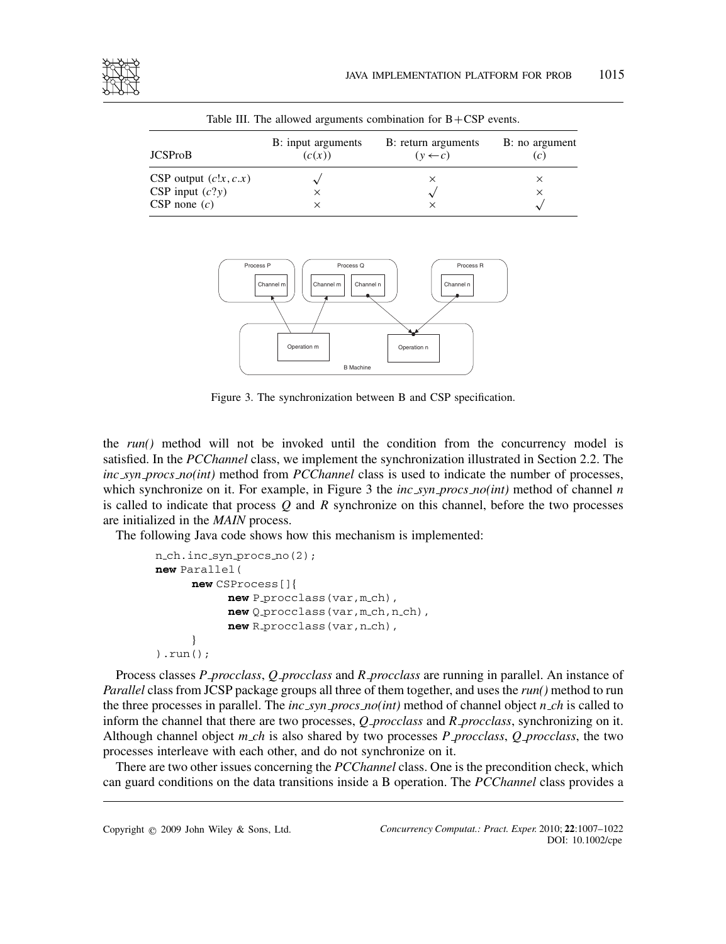| Table III. The allowed arguments combination for $B + CSP$ events. |                              |                                           |                |  |  |
|--------------------------------------------------------------------|------------------------------|-------------------------------------------|----------------|--|--|
| <b>JCSProB</b>                                                     | B: input arguments<br>(c(x)) | B: return arguments<br>$(v \leftarrow c)$ | B: no argument |  |  |
| CSP output $(c!x, c.x)$                                            |                              |                                           | $\times$       |  |  |
| CSP input $(c?\gamma)$                                             |                              |                                           | $\times$       |  |  |
| CSP none $(c)$                                                     |                              |                                           |                |  |  |

Table III. The allowed arguments combination for  $B + CSP$  events.



Figure 3. The synchronization between B and CSP specification.

the *run()* method will not be invoked until the condition from the concurrency model is satisfied. In the *PCChannel* class, we implement the synchronization illustrated in Section 2.2. The *inc syn procs no(int)* method from *PCChannel* class is used to indicate the number of processes, which synchronize on it. For example, in Figure 3 the *inc\_syn\_procs\_no(int)* method of channel *n* is called to indicate that process *Q* and *R* synchronize on this channel, before the two processes are initialized in the *MAIN* process.

The following Java code shows how this mechanism is implemented:

```
n ch.inc syn procs no(2);
new Parallel(
     new CSProcess[]{
           new P procclass(var,m ch),
           new Q_procclass(var, m_ch, n_ch),
           new R procclass (var, n ch),
     }
).run();
```
Process classes *P procclass*, *Q procclass* and *R procclass* are running in parallel. An instance of *Parallel* class from JCSP package groups all three of them together, and uses the *run()* method to run the three processes in parallel. The *inc syn procs no(int)* method of channel object *n ch* is called to inform the channel that there are two processes, *Q procclass* and *R procclass*, synchronizing on it. Although channel object *m ch* is also shared by two processes *P procclass*, *Q procclass*, the two processes interleave with each other, and do not synchronize on it.

There are two other issues concerning the *PCChannel* class. One is the precondition check, which can guard conditions on the data transitions inside a B operation. The *PCChannel* class provides a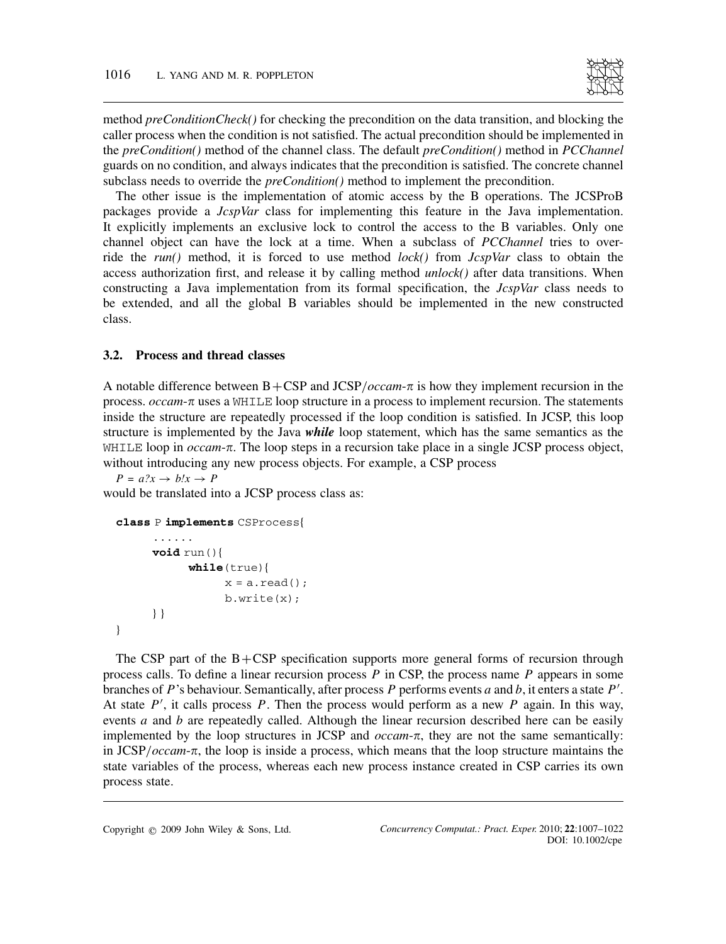

method *preConditionCheck()* for checking the precondition on the data transition, and blocking the caller process when the condition is not satisfied. The actual precondition should be implemented in the *preCondition()* method of the channel class. The default *preCondition()* method in *PCChannel* guards on no condition, and always indicates that the precondition is satisfied. The concrete channel subclass needs to override the *preCondition()* method to implement the precondition.

The other issue is the implementation of atomic access by the B operations. The JCSProB packages provide a *JcspVar* class for implementing this feature in the Java implementation. It explicitly implements an exclusive lock to control the access to the B variables. Only one channel object can have the lock at a time. When a subclass of *PCChannel* tries to override the *run()* method, it is forced to use method *lock()* from *JcspVar* class to obtain the access authorization first, and release it by calling method *unlock()* after data transitions. When constructing a Java implementation from its formal specification, the *JcspVar* class needs to be extended, and all the global B variables should be implemented in the new constructed class.

# **3.2. Process and thread classes**

A notable difference between  $B + CSP$  and  $JCSP/occam-\pi$  is how they implement recursion in the process. *occam-* $\pi$  uses a WHILE loop structure in a process to implement recursion. The statements inside the structure are repeatedly processed if the loop condition is satisfied. In JCSP, this loop structure is implemented by the Java *while* loop statement, which has the same semantics as the WHILE loop in *occam-π*. The loop steps in a recursion take place in a single JCSP process object, without introducing any new process objects. For example, a CSP process

 $P = a^2x \rightarrow b/x \rightarrow P$ would be translated into a JCSP process class as:

b.write(x);

```
class P implements CSProcess{
      ......
     void run(){
           while(true){
                 x = a.read();
```
} }

} The CSP part of the  $B + CSP$  specification supports more general forms of recursion through process calls. To define a linear recursion process *P* in CSP, the process name *P* appears in some branches of *P*'s behaviour. Semantically, after process *P* performs events *a* and *b*, it enters a state *P* . At state *P* , it calls process *P*. Then the process would perform as a new *P* again. In this way, events *a* and *b* are repeatedly called. Although the linear recursion described here can be easily implemented by the loop structures in JCSP and  $occam-\pi$ , they are not the same semantically: in  $JCSP/occam-\pi$ , the loop is inside a process, which means that the loop structure maintains the state variables of the process, whereas each new process instance created in CSP carries its own process state.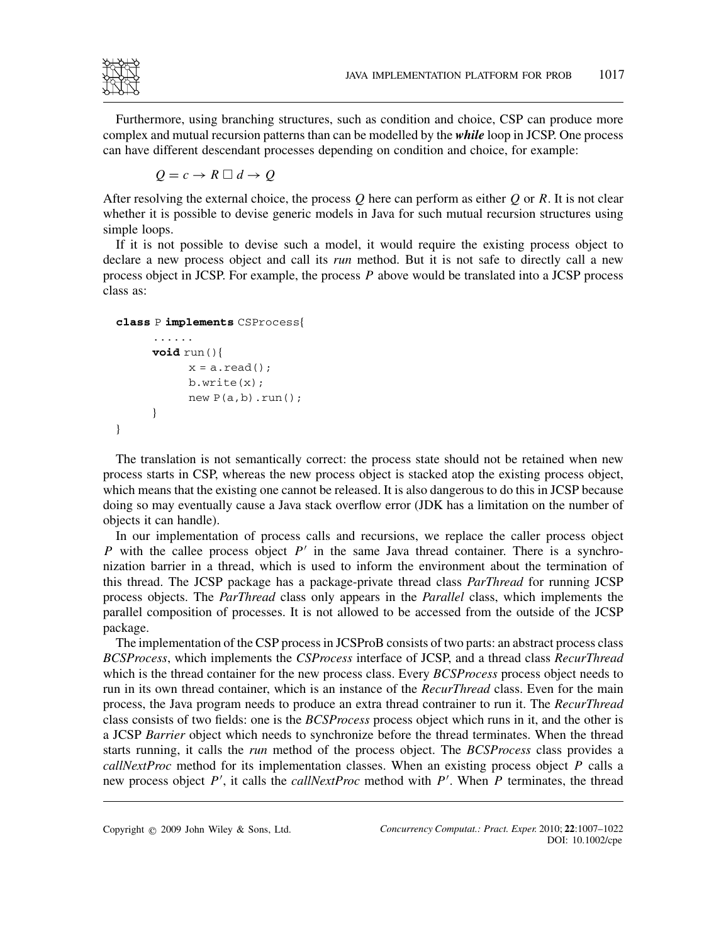

Furthermore, using branching structures, such as condition and choice, CSP can produce more complex and mutual recursion patterns than can be modelled by the *while* loop in JCSP. One process can have different descendant processes depending on condition and choice, for example:

 $Q = c \rightarrow R \square d \rightarrow Q$ 

After resolving the external choice, the process *Q* here can perform as either *Q* or *R*. It is not clear whether it is possible to devise generic models in Java for such mutual recursion structures using simple loops.

If it is not possible to devise such a model, it would require the existing process object to declare a new process object and call its *run* method. But it is not safe to directly call a new process object in JCSP. For example, the process *P* above would be translated into a JCSP process class as:

```
class P implements CSProcess{
      ......
```

```
void run(){
           x = a.read();
           b.write(x);
           new P(a,b).run();
     }
}
```
The translation is not semantically correct: the process state should not be retained when new process starts in CSP, whereas the new process object is stacked atop the existing process object, which means that the existing one cannot be released. It is also dangerous to do this in JCSP because doing so may eventually cause a Java stack overflow error (JDK has a limitation on the number of objects it can handle).

In our implementation of process calls and recursions, we replace the caller process object *P* with the callee process object  $P'$  in the same Java thread container. There is a synchronization barrier in a thread, which is used to inform the environment about the termination of this thread. The JCSP package has a package-private thread class *ParThread* for running JCSP process objects. The *ParThread* class only appears in the *Parallel* class, which implements the parallel composition of processes. It is not allowed to be accessed from the outside of the JCSP package.

The implementation of the CSP process in JCSProB consists of two parts: an abstract process class *BCSProcess*, which implements the *CSProcess* interface of JCSP, and a thread class *RecurThread* which is the thread container for the new process class. Every *BCSProcess* process object needs to run in its own thread container, which is an instance of the *RecurThread* class. Even for the main process, the Java program needs to produce an extra thread contrainer to run it. The *RecurThread* class consists of two fields: one is the *BCSProcess* process object which runs in it, and the other is a JCSP *Barrier* object which needs to synchronize before the thread terminates. When the thread starts running, it calls the *run* method of the process object. The *BCSProcess* class provides a *callNextProc* method for its implementation classes. When an existing process object *P* calls a new process object *P* , it calls the *callNextProc* method with *P* . When *P* terminates, the thread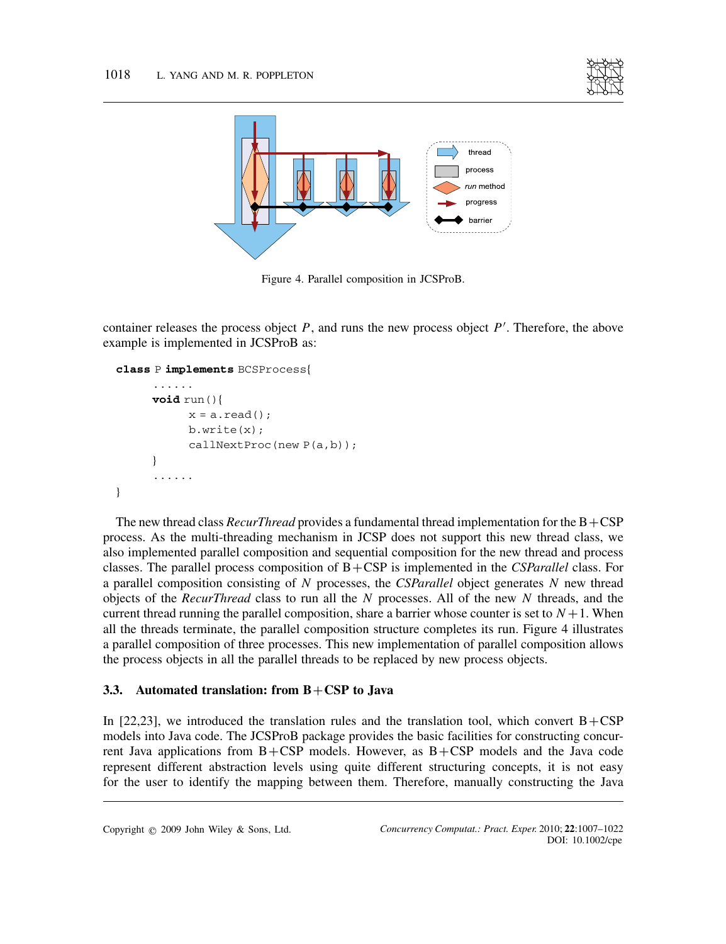



Figure 4. Parallel composition in JCSProB.

container releases the process object *P*, and runs the new process object *P* . Therefore, the above example is implemented in JCSProB as:

```
class P implements BCSProcess{
     void run(){
           x = a.read();
           b.write(x);
           callNextProc(new P(a,b));
     }
      ......
}
```
The new thread class  $RecurThread$  provides a fundamental thread implementation for the  $B + CSP$ process. As the multi-threading mechanism in JCSP does not support this new thread class, we also implemented parallel composition and sequential composition for the new thread and process classes. The parallel process composition of B+CSP is implemented in the *CSParallel* class. For a parallel composition consisting of *N* processes, the *CSParallel* object generates *N* new thread objects of the *RecurThread* class to run all the *N* processes. All of the new *N* threads, and the current thread running the parallel composition, share a barrier whose counter is set to  $N+1$ . When all the threads terminate, the parallel composition structure completes its run. Figure 4 illustrates a parallel composition of three processes. This new implementation of parallel composition allows the process objects in all the parallel threads to be replaced by new process objects.

# **3.3. Automated translation: from B**+**CSP to Java**

In [22,23], we introduced the translation rules and the translation tool, which convert  $B + CSP$ models into Java code. The JCSProB package provides the basic facilities for constructing concurrent Java applications from  $B + CSP$  models. However, as  $B + CSP$  models and the Java code represent different abstraction levels using quite different structuring concepts, it is not easy for the user to identify the mapping between them. Therefore, manually constructing the Java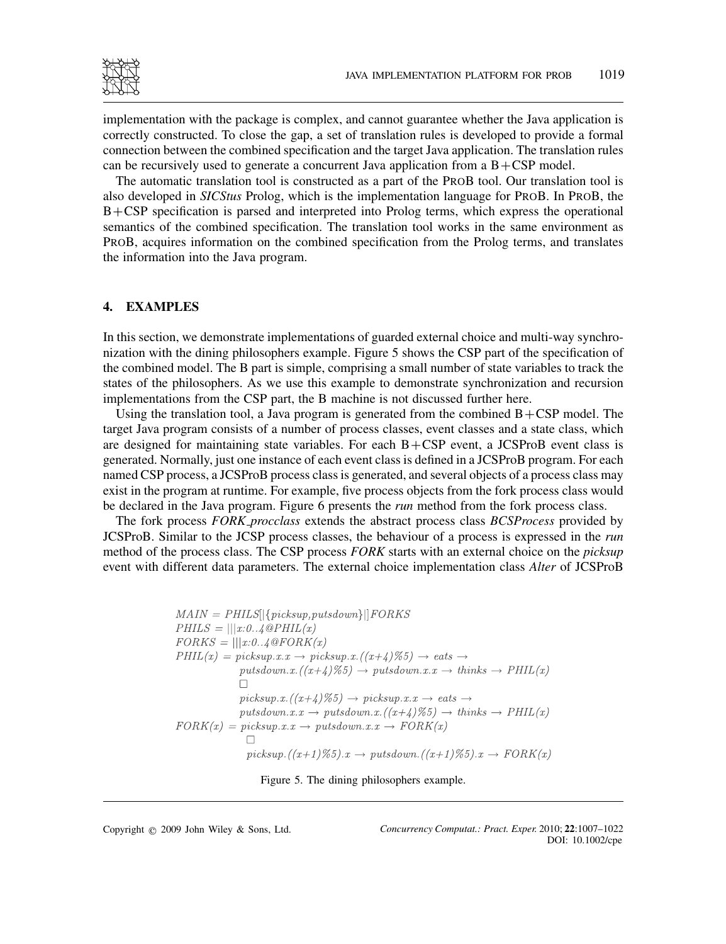

implementation with the package is complex, and cannot guarantee whether the Java application is correctly constructed. To close the gap, a set of translation rules is developed to provide a formal connection between the combined specification and the target Java application. The translation rules can be recursively used to generate a concurrent Java application from a  $B + CSP$  model.

The automatic translation tool is constructed as a part of the PROB tool. Our translation tool is also developed in *SICStus* Prolog, which is the implementation language for PROB. In PROB, the B+CSP specification is parsed and interpreted into Prolog terms, which express the operational semantics of the combined specification. The translation tool works in the same environment as PROB, acquires information on the combined specification from the Prolog terms, and translates the information into the Java program.

# **4. EXAMPLES**

In this section, we demonstrate implementations of guarded external choice and multi-way synchronization with the dining philosophers example. Figure 5 shows the CSP part of the specification of the combined model. The B part is simple, comprising a small number of state variables to track the states of the philosophers. As we use this example to demonstrate synchronization and recursion implementations from the CSP part, the B machine is not discussed further here.

Using the translation tool, a Java program is generated from the combined  $B + CSP$  model. The target Java program consists of a number of process classes, event classes and a state class, which are designed for maintaining state variables. For each  $B + CSP$  event, a JCSProB event class is generated. Normally, just one instance of each event class is defined in a JCSProB program. For each named CSP process, a JCSProB process class is generated, and several objects of a process class may exist in the program at runtime. For example, five process objects from the fork process class would be declared in the Java program. Figure 6 presents the *run* method from the fork process class.

The fork process *FORK procclass* extends the abstract process class *BCSProcess* provided by JCSProB. Similar to the JCSP process classes, the behaviour of a process is expressed in the *run* method of the process class. The CSP process *FORK* starts with an external choice on the *picksup* event with different data parameters. The external choice implementation class *Alter* of JCSProB

> $MAIN = PHILS[|\{picksup, putsdown\}|] FORKS$  $PHILS = |||x:0..4@PHIL(x)$  $FORKS = |||x:0..4@FORK(x)|$  $PHIL(x) = picksup.x.x \rightarrow picksup.x.((x+4)\%5) \rightarrow eats \rightarrow$  $putsdown.x.((x+4)\%5) \rightarrow putsdown.x.x \rightarrow thinks \rightarrow PHIL(x)$  $\Box$  $picksup.x.((x+4)\%5) \rightarrow picksup.x.x \rightarrow eats \rightarrow$ putsdown.x.x  $\rightarrow$  putsdown.x. $((x+4)\%5) \rightarrow$  thinks  $\rightarrow$  PHIL(x)  $FORK(x) = picksup.x.x \rightarrow putsdown.x.x \rightarrow FORK(x)$  $\Box$  $\text{picksup.}((x+1)\%5).x \rightarrow \text{putsdown.}((x+1)\%5).x \rightarrow \text{FORK}(x)$

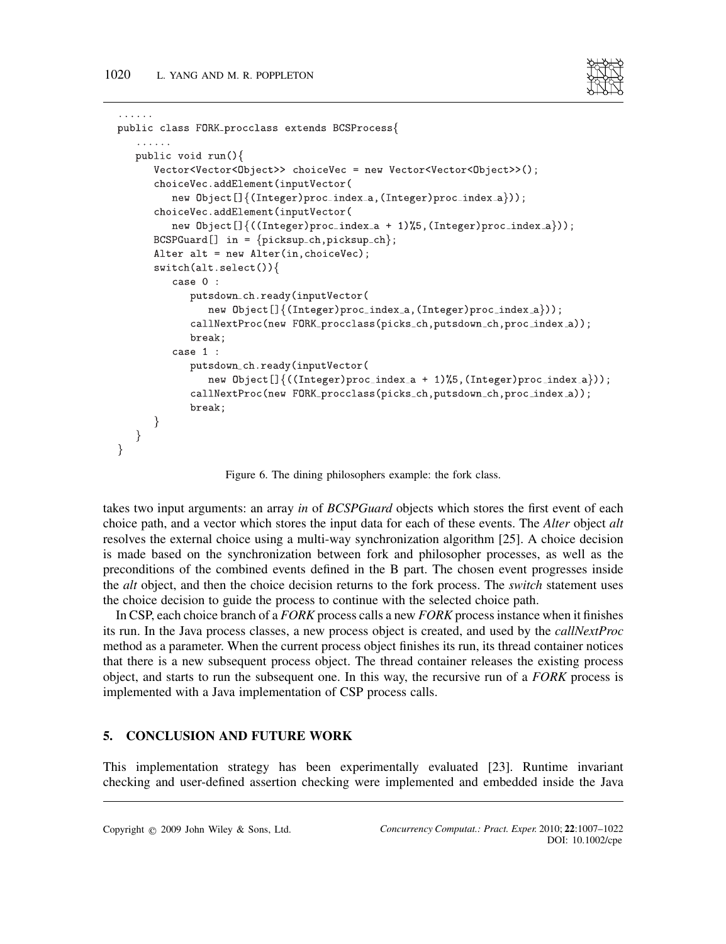

```
1.1.1.1.1public class FORK_procclass extends BCSProcess{
   \mathbf{r} . . . . .
   public void run()Vector<Vector<Object>> choiceVec = new Vector<Vector<Object>>();
      choiceVec.addElement(inputVector(
          new Object [] { (Integer) proc_index_a, (Integer) proc_index_a}));
      choiceVec.addElement(inputVector(
          new Object []{((Integer)proc_index_a + 1)%5, (Integer)proc_index_a}));
      BCSPGuard[] in = \{ \text{picksup.ch}, \text{picksup-ch} \};
      Alter alt = new Alter(in, choiceVec);
      switch(alt.setect())case 0 :
             putsdown_ch.ready(inputVector(
                new Object [] { (Integer) proc_index_a, (Integer) proc_index_a}));
             callNextProc(new FORK_procclass(picks_ch,putsdown_ch,proc_index_a));
             break:
          case 1:putsdown_ch.ready(inputVector(
                new 0bject[]{((Integer)proc_index_a + 1)%5,(Integer)proc_index_a}));
             callNextProc(new FORK_procclass(picks_ch,putsdown_ch,proc_index_a));
             break:
      ł
   ł
\mathcal{E}
```
Figure 6. The dining philosophers example: the fork class.

takes two input arguments: an array *in* of *BCSPGuard* objects which stores the first event of each choice path, and a vector which stores the input data for each of these events. The *Alter* object *alt* resolves the external choice using a multi-way synchronization algorithm [25]. A choice decision is made based on the synchronization between fork and philosopher processes, as well as the preconditions of the combined events defined in the B part. The chosen event progresses inside the *alt* object, and then the choice decision returns to the fork process. The *switch* statement uses the choice decision to guide the process to continue with the selected choice path.

In CSP, each choice branch of a *FORK* process calls a new *FORK* process instance when it finishes its run. In the Java process classes, a new process object is created, and used by the *callNextProc* method as a parameter. When the current process object finishes its run, its thread container notices that there is a new subsequent process object. The thread container releases the existing process object, and starts to run the subsequent one. In this way, the recursive run of a *FORK* process is implemented with a Java implementation of CSP process calls.

#### **5. CONCLUSION AND FUTURE WORK**

This implementation strategy has been experimentally evaluated [23]. Runtime invariant checking and user-defined assertion checking were implemented and embedded inside the Java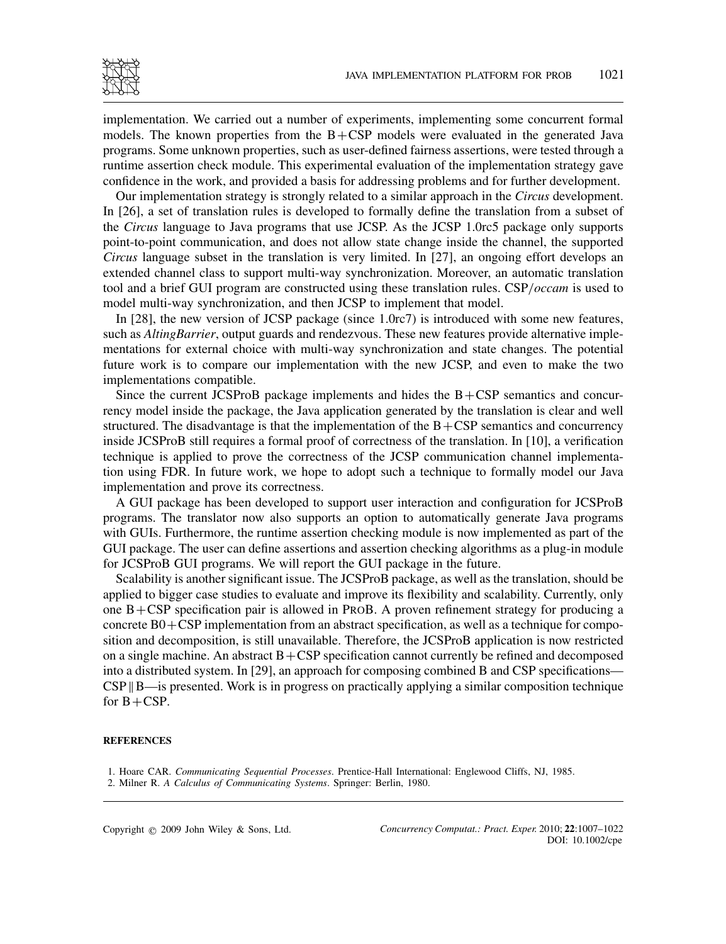

implementation. We carried out a number of experiments, implementing some concurrent formal models. The known properties from the  $B + CSP$  models were evaluated in the generated Java programs. Some unknown properties, such as user-defined fairness assertions, were tested through a runtime assertion check module. This experimental evaluation of the implementation strategy gave confidence in the work, and provided a basis for addressing problems and for further development.

Our implementation strategy is strongly related to a similar approach in the *Circus* development. In [26], a set of translation rules is developed to formally define the translation from a subset of the *Circus* language to Java programs that use JCSP. As the JCSP 1.0rc5 package only supports point-to-point communication, and does not allow state change inside the channel, the supported *Circus* language subset in the translation is very limited. In [27], an ongoing effort develops an extended channel class to support multi-way synchronization. Moreover, an automatic translation tool and a brief GUI program are constructed using these translation rules. CSP*/occam* is used to model multi-way synchronization, and then JCSP to implement that model.

In [28], the new version of JCSP package (since 1.0rc7) is introduced with some new features, such as *AltingBarrier*, output guards and rendezvous. These new features provide alternative implementations for external choice with multi-way synchronization and state changes. The potential future work is to compare our implementation with the new JCSP, and even to make the two implementations compatible.

Since the current JCSProB package implements and hides the  $B + CSP$  semantics and concurrency model inside the package, the Java application generated by the translation is clear and well structured. The disadvantage is that the implementation of the  $B + CSP$  semantics and concurrency inside JCSProB still requires a formal proof of correctness of the translation. In [10], a verification technique is applied to prove the correctness of the JCSP communication channel implementation using FDR. In future work, we hope to adopt such a technique to formally model our Java implementation and prove its correctness.

A GUI package has been developed to support user interaction and configuration for JCSProB programs. The translator now also supports an option to automatically generate Java programs with GUIs. Furthermore, the runtime assertion checking module is now implemented as part of the GUI package. The user can define assertions and assertion checking algorithms as a plug-in module for JCSProB GUI programs. We will report the GUI package in the future.

Scalability is another significant issue. The JCSProB package, as well as the translation, should be applied to bigger case studies to evaluate and improve its flexibility and scalability. Currently, only one B+CSP specification pair is allowed in PROB. A proven refinement strategy for producing a concrete  $B0 + CSP$  implementation from an abstract specification, as well as a technique for composition and decomposition, is still unavailable. Therefore, the JCSProB application is now restricted on a single machine. An abstract  $B + CSP$  specification cannot currently be refined and decomposed into a distributed system. In [29], an approach for composing combined B and CSP specifications—  $CSP \| B$ —is presented. Work is in progress on practically applying a similar composition technique for  $B + CSP$ .

#### **REFERENCES**

2. Milner R. *A Calculus of Communicating Systems*. Springer: Berlin, 1980.

<sup>1.</sup> Hoare CAR. *Communicating Sequential Processes*. Prentice-Hall International: Englewood Cliffs, NJ, 1985.